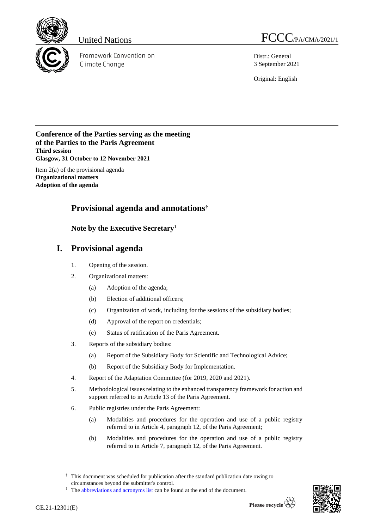

Framework Convention on Climate Change

United Nations  $FCCC_{\textit{PA/CMA/2021/1}}$ 

Distr.: General 3 September 2021

Original: English

# **Conference of the Parties serving as the meeting of the Parties to the Paris Agreement Third session Glasgow, 31 October to 12 November 2021**

Item 2(a) of the provisional agenda **Organizational matters Adoption of the agenda**

# **Provisional agenda and annotations†**

# **Note by the Executive Secretary<sup>1</sup>**

# **I. Provisional agenda**

- 1. Opening of the session.
- 2. Organizational matters:
	- (a) Adoption of the agenda;
	- (b) Election of additional officers;
	- (c) Organization of work, including for the sessions of the subsidiary bodies;
	- (d) Approval of the report on credentials;
	- (e) Status of ratification of the Paris Agreement.
- 3. Reports of the subsidiary bodies:
	- (a) Report of the Subsidiary Body for Scientific and Technological Advice;
	- (b) Report of the Subsidiary Body for Implementation.
- 4. Report of the Adaptation Committee (for 2019, 2020 and 2021).
- 5. Methodological issues relating to the enhanced transparency framework for action and support referred to in Article 13 of the Paris Agreement.
- 6. Public registries under the Paris Agreement:
	- (a) Modalities and procedures for the operation and use of a public registry referred to in Article 4, paragraph 12, of the Paris Agreement;
	- (b) Modalities and procedures for the operation and use of a public registry referred to in Article 7, paragraph 12, of the Paris Agreement.



<sup>†</sup> This document was scheduled for publication after the standard publication date owing to circumstances beyond the submitter's control.

<sup>&</sup>lt;sup>1</sup> The **abbreviations and acronyms list** can be found at the end of the document.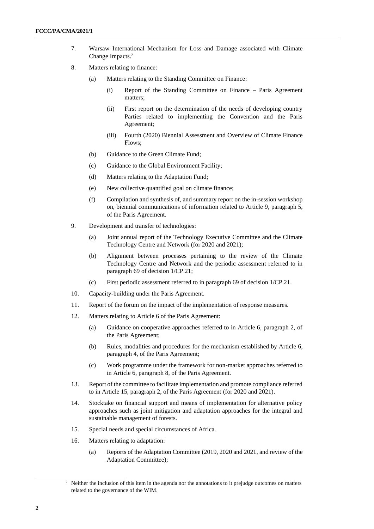- 7. Warsaw International Mechanism for Loss and Damage associated with Climate Change Impacts. 2
- 8. Matters relating to finance:
	- (a) Matters relating to the Standing Committee on Finance:
		- (i) Report of the Standing Committee on Finance Paris Agreement matters;
		- (ii) First report on the determination of the needs of developing country Parties related to implementing the Convention and the Paris Agreement;
		- (iii) Fourth (2020) Biennial Assessment and Overview of Climate Finance Flows;
	- (b) Guidance to the Green Climate Fund;
	- (c) Guidance to the Global Environment Facility;
	- (d) Matters relating to the Adaptation Fund;
	- (e) New collective quantified goal on climate finance;
	- (f) Compilation and synthesis of, and summary report on the in-session workshop on, biennial communications of information related to Article 9, paragraph 5, of the Paris Agreement.
- 9. Development and transfer of technologies:
	- (a) Joint annual report of the Technology Executive Committee and the Climate Technology Centre and Network (for 2020 and 2021);
	- (b) Alignment between processes pertaining to the review of the Climate Technology Centre and Network and the periodic assessment referred to in paragraph 69 of decision 1/CP.21;
	- (c) First periodic assessment referred to in paragraph 69 of decision 1/CP.21.
- 10. Capacity-building under the Paris Agreement.
- 11. Report of the forum on the impact of the implementation of response measures.
- 12. Matters relating to Article 6 of the Paris Agreement:
	- (a) Guidance on cooperative approaches referred to in Article 6, paragraph 2, of the Paris Agreement;
	- (b) Rules, modalities and procedures for the mechanism established by Article 6, paragraph 4, of the Paris Agreement;
	- (c) Work programme under the framework for non-market approaches referred to in Article 6, paragraph 8, of the Paris Agreement.
- 13. Report of the committee to facilitate implementation and promote compliance referred to in Article 15, paragraph 2, of the Paris Agreement (for 2020 and 2021).
- 14. Stocktake on financial support and means of implementation for alternative policy approaches such as joint mitigation and adaptation approaches for the integral and sustainable management of forests.
- 15. Special needs and special circumstances of Africa.
- 16. Matters relating to adaptation:
	- (a) Reports of the Adaptation Committee (2019, 2020 and 2021, and review of the Adaptation Committee);

<sup>&</sup>lt;sup>2</sup> Neither the inclusion of this item in the agenda nor the annotations to it prejudge outcomes on matters related to the governance of the WIM.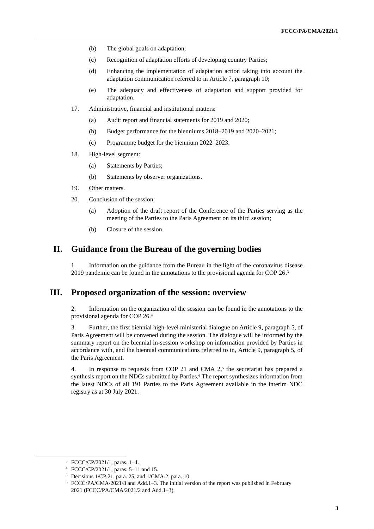- (b) The global goals on adaptation;
- (c) Recognition of adaptation efforts of developing country Parties;
- (d) Enhancing the implementation of adaptation action taking into account the adaptation communication referred to in Article 7, paragraph 10;
- (e) The adequacy and effectiveness of adaptation and support provided for adaptation.
- 17. Administrative, financial and institutional matters:
	- (a) Audit report and financial statements for 2019 and 2020;
	- (b) Budget performance for the bienniums 2018–2019 and 2020–2021;
	- (c) Programme budget for the biennium 2022–2023.
- 18. High-level segment:
	- (a) Statements by Parties;
	- (b) Statements by observer organizations.
- 19. Other matters.
- 20. Conclusion of the session:
	- (a) Adoption of the draft report of the Conference of the Parties serving as the meeting of the Parties to the Paris Agreement on its third session;
	- (b) Closure of the session.

# **II. Guidance from the Bureau of the governing bodies**

1. Information on the guidance from the Bureau in the light of the coronavirus disease 2019 pandemic can be found in the annotations to the provisional agenda for COP 26. 3

# **III. Proposed organization of the session: overview**

2. Information on the organization of the session can be found in the annotations to the provisional agenda for COP 26.<sup>4</sup>

3. Further, the first biennial high-level ministerial dialogue on Article 9, paragraph 5, of Paris Agreement will be convened during the session. The dialogue will be informed by the summary report on the biennial in-session workshop on information provided by Parties in accordance with, and the biennial communications referred to in, Article 9, paragraph 5, of the Paris Agreement.

4. In response to requests from COP 21 and CMA  $2<sup>5</sup>$ , the secretariat has prepared a synthesis report on the NDCs submitted by Parties.<sup>6</sup> The report synthesizes information from the latest NDCs of all 191 Parties to the Paris Agreement available in the interim NDC registry as at 30 July 2021.

<sup>3</sup> FCCC/CP/2021/1, paras. 1–4.

<sup>4</sup> FCCC/CP/2021/1, paras. 5–11 and 15.

<sup>5</sup> Decisions 1/CP.21, para. 25, and 1/CMA.2, para. 10.

<sup>6</sup> FCCC/PA/CMA/2021/8 and Add.1–3. The initial version of the report was published in February 2021 (FCCC/PA/CMA/2021/2 and Add.1–3).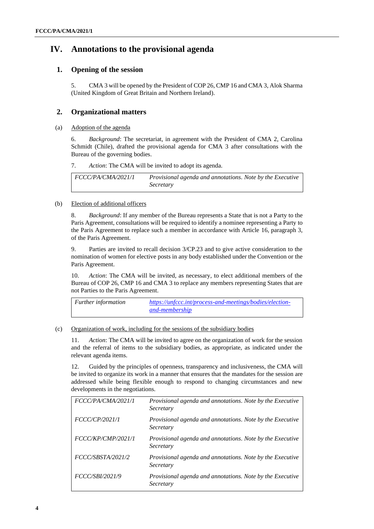# **IV. Annotations to the provisional agenda**

# **1. Opening of the session**

5. CMA 3 will be opened by the President of COP 26, CMP 16 and CMA 3, Alok Sharma (United Kingdom of Great Britain and Northern Ireland).

# **2. Organizational matters**

## (a) Adoption of the agenda

6. *Background*: The secretariat, in agreement with the President of CMA 2, Carolina Schmidt (Chile), drafted the provisional agenda for CMA 3 after consultations with the Bureau of the governing bodies.

7. *Action*: The CMA will be invited to adopt its agenda.

*FCCC/PA/CMA/2021/1 Provisional agenda and annotations. Note by the Executive Secretary*

## (b) Election of additional officers

8. *Background*: If any member of the Bureau represents a State that is not a Party to the Paris Agreement, consultations will be required to identify a nominee representing a Party to the Paris Agreement to replace such a member in accordance with Article 16, paragraph 3, of the Paris Agreement.

9. Parties are invited to recall decision 3/CP.23 and to give active consideration to the nomination of women for elective posts in any body established under the Convention or the Paris Agreement.

10. *Action*: The CMA will be invited, as necessary, to elect additional members of the Bureau of COP 26, CMP 16 and CMA 3 to replace any members representing States that are not Parties to the Paris Agreement.

| <b>Further information</b> | https://unfccc.int/process-and-meetings/bodies/election- |
|----------------------------|----------------------------------------------------------|
|                            | and-membership                                           |

## (c) Organization of work, including for the sessions of the subsidiary bodies

11. *Action*: The CMA will be invited to agree on the organization of work for the session and the referral of items to the subsidiary bodies, as appropriate, as indicated under the relevant agenda items.

12. Guided by the principles of openness, transparency and inclusiveness, the CMA will be invited to organize its work in a manner that ensures that the mandates for the session are addressed while being flexible enough to respond to changing circumstances and new developments in the negotiations.

| FCCC/PA/CMA/2021/1     | Provisional agenda and annotations. Note by the Executive<br>Secretary |
|------------------------|------------------------------------------------------------------------|
| FCCC/CP/2021/1         | Provisional agenda and annotations. Note by the Executive<br>Secretary |
| FCCC/KP/CMP/2021/1     | Provisional agenda and annotations. Note by the Executive<br>Secretary |
| FCCC/SBSTA/2021/2      | Provisional agenda and annotations. Note by the Executive<br>Secretary |
| <i>FCCC/SBI/2021/9</i> | Provisional agenda and annotations. Note by the Executive<br>Secretary |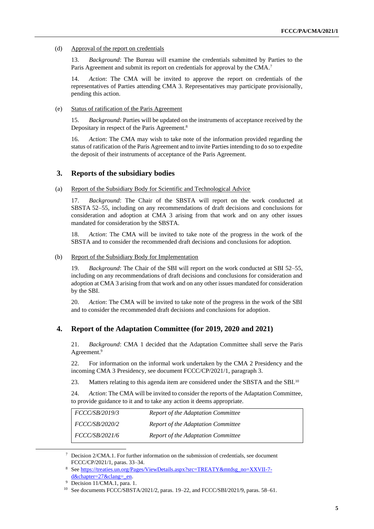#### (d) Approval of the report on credentials

13. *Background*: The Bureau will examine the credentials submitted by Parties to the Paris Agreement and submit its report on credentials for approval by the CMA.<sup>7</sup>

14. *Action*: The CMA will be invited to approve the report on credentials of the representatives of Parties attending CMA 3. Representatives may participate provisionally, pending this action.

#### (e) Status of ratification of the Paris Agreement

15. *Background*: Parties will be updated on the instruments of acceptance received by the Depositary in respect of the Paris Agreement.<sup>8</sup>

16. *Action*: The CMA may wish to take note of the information provided regarding the status of ratification of the Paris Agreement and to invite Parties intending to do so to expedite the deposit of their instruments of acceptance of the Paris Agreement.

### **3. Reports of the subsidiary bodies**

#### (a) Report of the Subsidiary Body for Scientific and Technological Advice

17. *Background*: The Chair of the SBSTA will report on the work conducted at SBSTA 52–55, including on any recommendations of draft decisions and conclusions for consideration and adoption at CMA 3 arising from that work and on any other issues mandated for consideration by the SBSTA.

Action: The CMA will be invited to take note of the progress in the work of the SBSTA and to consider the recommended draft decisions and conclusions for adoption.

#### (b) Report of the Subsidiary Body for Implementation

19. *Background*: The Chair of the SBI will report on the work conducted at SBI 52–55, including on any recommendations of draft decisions and conclusions for consideration and adoption at CMA 3 arising from that work and on any other issues mandated for consideration by the SBI.

20. *Action*: The CMA will be invited to take note of the progress in the work of the SBI and to consider the recommended draft decisions and conclusions for adoption.

## **4. Report of the Adaptation Committee (for 2019, 2020 and 2021)**

21. *Background*: CMA 1 decided that the Adaptation Committee shall serve the Paris Agreement.<sup>9</sup>

22. For information on the informal work undertaken by the CMA 2 Presidency and the incoming CMA 3 Presidency, see document FCCC/CP/2021/1, paragraph 3.

23. Matters relating to this agenda item are considered under the SBSTA and the SBI.<sup>10</sup>

24. *Action*: The CMA will be invited to consider the reports of the Adaptation Committee, to provide guidance to it and to take any action it deems appropriate.

| <i>FCCC/SB/2019/3</i> | Report of the Adaptation Committee |
|-----------------------|------------------------------------|
| <i>FCCC/SB/2020/2</i> | Report of the Adaptation Committee |
| <i>FCCC/SB/2021/6</i> | Report of the Adaptation Committee |

 $\frac{7}{1}$  Decision 2/CMA.1. For further information on the submission of credentials, see document FCCC/CP/2021/1, paras. 33–34.

<sup>8</sup> Se[e https://treaties.un.org/Pages/ViewDetails.aspx?src=TREATY&mtdsg\\_no=XXVII-7](https://treaties.un.org/Pages/ViewDetails.aspx?src=TREATY&mtdsg_no=XXVII-7-d&chapter=27&clang=_en) [d&chapter=27&clang=\\_en.](https://treaties.un.org/Pages/ViewDetails.aspx?src=TREATY&mtdsg_no=XXVII-7-d&chapter=27&clang=_en)

<sup>9</sup> Decision 11/CMA.1, para. 1.

<sup>10</sup> See documents FCCC/SBSTA/2021/2, paras. 19–22, and FCCC/SBI/2021/9, paras. 58–61.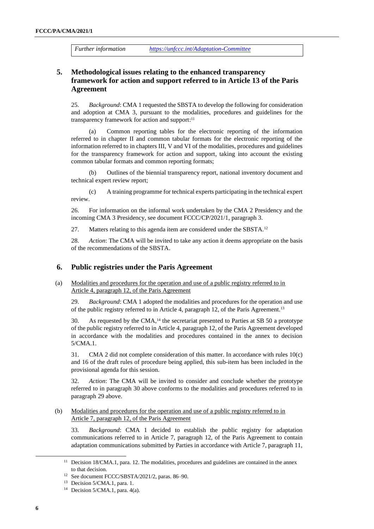*Further information <https://unfccc.int/Adaptation-Committee>*

# **5. Methodological issues relating to the enhanced transparency framework for action and support referred to in Article 13 of the Paris Agreement**

25. *Background*: CMA 1 requested the SBSTA to develop the following for consideration and adoption at CMA 3, pursuant to the modalities, procedures and guidelines for the transparency framework for action and support: 11

(a) Common reporting tables for the electronic reporting of the information referred to in chapter II and common tabular formats for the electronic reporting of the information referred to in chapters III, V and VI of the modalities, procedures and guidelines for the transparency framework for action and support, taking into account the existing common tabular formats and common reporting formats;

(b) Outlines of the biennial transparency report, national inventory document and technical expert review report;

(c) A training programme for technical experts participating in the technical expert review.

26. For information on the informal work undertaken by the CMA 2 Presidency and the incoming CMA 3 Presidency, see document FCCC/CP/2021/1, paragraph 3.

27. Matters relating to this agenda item are considered under the SBSTA.<sup>12</sup>

28. *Action*: The CMA will be invited to take any action it deems appropriate on the basis of the recommendations of the SBSTA.

### **6. Public registries under the Paris Agreement**

(a) Modalities and procedures for the operation and use of a public registry referred to in Article 4, paragraph 12, of the Paris Agreement

29. *Background*: CMA 1 adopted the modalities and procedures for the operation and use of the public registry referred to in Article 4, paragraph 12, of the Paris Agreement.<sup>13</sup>

30. As requested by the CMA,<sup>14</sup> the secretariat presented to Parties at SB 50 a prototype of the public registry referred to in Article 4, paragraph 12, of the Paris Agreement developed in accordance with the modalities and procedures contained in the annex to decision 5/CMA.1.

31. CMA 2 did not complete consideration of this matter. In accordance with rules 10(c) and 16 of the draft rules of procedure being applied, this sub-item has been included in the provisional agenda for this session.

32. *Action*: The CMA will be invited to consider and conclude whether the prototype referred to in paragraph 30 above conforms to the modalities and procedures referred to in paragraph 29 above.

(b) Modalities and procedures for the operation and use of a public registry referred to in Article 7, paragraph 12, of the Paris Agreement

33. *Background*: CMA 1 decided to establish the public registry for adaptation communications referred to in Article 7, paragraph 12, of the Paris Agreement to contain adaptation communications submitted by Parties in accordance with Article 7, paragraph 11,

<sup>&</sup>lt;sup>11</sup> Decision 18/CMA.1, para. 12. The modalities, procedures and guidelines are contained in the annex to that decision.

<sup>12</sup> See document FCCC/SBSTA/2021/2, paras. 86–90.

<sup>13</sup> Decision 5/CMA.1, para. 1.

<sup>&</sup>lt;sup>14</sup> Decision 5/CMA.1, para.  $4(a)$ .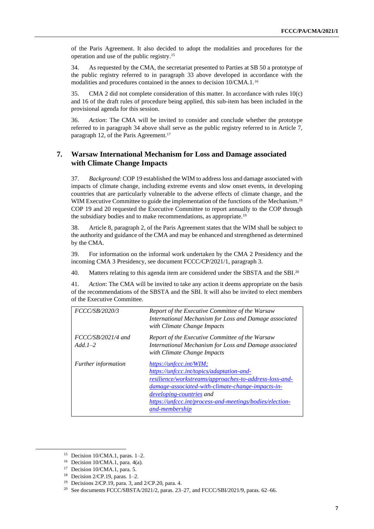of the Paris Agreement. It also decided to adopt the modalities and procedures for the operation and use of the public registry.<sup>15</sup>

34. As requested by the CMA, the secretariat presented to Parties at SB 50 a prototype of the public registry referred to in paragraph 33 above developed in accordance with the modalities and procedures contained in the annex to decision 10/CMA.1.<sup>16</sup>

35. CMA 2 did not complete consideration of this matter. In accordance with rules 10(c) and 16 of the draft rules of procedure being applied, this sub-item has been included in the provisional agenda for this session.

36. *Action*: The CMA will be invited to consider and conclude whether the prototype referred to in paragraph 34 above shall serve as the public registry referred to in Article 7, paragraph 12, of the Paris Agreement.<sup>17</sup>

# **7. Warsaw International Mechanism for Loss and Damage associated with Climate Change Impacts**

37. *Background*: COP 19 established the WIM to address loss and damage associated with impacts of climate change, including extreme events and slow onset events, in developing countries that are particularly vulnerable to the adverse effects of climate change, and the WIM Executive Committee to guide the implementation of the functions of the Mechanism.<sup>18</sup> COP 19 and 20 requested the Executive Committee to report annually to the COP through the subsidiary bodies and to make recommendations, as appropriate.<sup>19</sup>

38. Article 8, paragraph 2, of the Paris Agreement states that the WIM shall be subject to the authority and guidance of the CMA and may be enhanced and strengthened as determined by the CMA.

39. For information on the informal work undertaken by the CMA 2 Presidency and the incoming CMA 3 Presidency, see document FCCC/CP/2021/1, paragraph 3.

40. Matters relating to this agenda item are considered under the SBSTA and the SBI.<sup>20</sup>

41. *Action*: The CMA will be invited to take any action it deems appropriate on the basis of the recommendations of the SBSTA and the SBI. It will also be invited to elect members of the Executive Committee.

| FCCC/SB/2020/3                     | Report of the Executive Committee of the Warsaw<br>International Mechanism for Loss and Damage associated<br>with Climate Change Impacts                                                                                                                                                             |
|------------------------------------|------------------------------------------------------------------------------------------------------------------------------------------------------------------------------------------------------------------------------------------------------------------------------------------------------|
| $FCCC/SB/2021/4$ and<br>$Add. 1-2$ | Report of the Executive Committee of the Warsaw<br>International Mechanism for Loss and Damage associated<br>with Climate Change Impacts                                                                                                                                                             |
| <i>Further information</i>         | https://unfccc.int/WIM;<br>https://unfccc.int/topics/adaptation-and-<br>resilience/workstreams/approaches-to-address-loss-and-<br>damage-associated-with-climate-change-impacts-in-<br><i>developing-countries and</i><br>https://unfccc.int/process-and-meetings/bodies/election-<br>and-membership |

<sup>&</sup>lt;sup>15</sup> Decision  $10/CMA.1$ , paras. 1–2.

 $16$  Decision 10/CMA.1, para. 4(a).

<sup>&</sup>lt;sup>17</sup> Decision 10/CMA.1, para. 5.

<sup>&</sup>lt;sup>18</sup> Decision  $2/CP.19$ , paras. 1–2.

<sup>19</sup> Decisions 2/CP.19, para. 3, and 2/CP.20, para. 4.

<sup>&</sup>lt;sup>20</sup> See documents FCCC/SBSTA/2021/2, paras. 23-27, and FCCC/SBI/2021/9, paras. 62-66.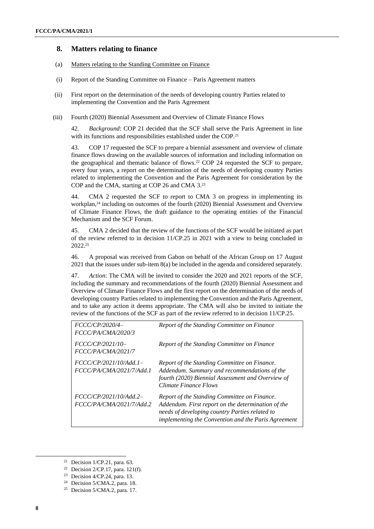### **8. Matters relating to finance**

- (a) Matters relating to the Standing Committee on Finance
- (i) Report of the Standing Committee on Finance Paris Agreement matters
- (ii) First report on the determination of the needs of developing country Parties related to implementing the Convention and the Paris Agreement
- (iii) Fourth (2020) Biennial Assessment and Overview of Climate Finance Flows

42. *Background*: COP 21 decided that the SCF shall serve the Paris Agreement in line with its functions and responsibilities established under the COP.<sup>21</sup>

43. COP 17 requested the SCF to prepare a biennial assessment and overview of climate finance flows drawing on the available sources of information and including information on the geographical and thematic balance of flows.<sup>22</sup> COP 24 requested the SCF to prepare, every four years, a report on the determination of the needs of developing country Parties related to implementing the Convention and the Paris Agreement for consideration by the COP and the CMA, starting at COP 26 and CMA 3.<sup>23</sup>

44. CMA 2 requested the SCF to report to CMA 3 on progress in implementing its workplan, <sup>24</sup> including on outcomes of the fourth (2020) Biennial Assessment and Overview of Climate Finance Flows, the draft guidance to the operating entities of the Financial Mechanism and the SCF Forum.

45. CMA 2 decided that the review of the functions of the SCF would be initiated as part of the review referred to in decision 11/CP.25 in 2021 with a view to being concluded in 2022. 25

46. A proposal was received from Gabon on behalf of the African Group on 17 August 2021 that the issues under sub-item 8(a) be included in the agenda and considered separately.

47. *Action*: The CMA will be invited to consider the 2020 and 2021 reports of the SCF, including the summary and recommendations of the fourth (2020) Biennial Assessment and Overview of Climate Finance Flows and the first report on the determination of the needs of developing country Parties related to implementing the Convention and the Paris Agreement, and to take any action it deems appropriate. The CMA will also be invited to initiate the review of the functions of the SCF as part of the review referred to in decision 11/CP.25.

| FCCC/CP/2020/4-<br>FCCC/PA/CMA/2020/3              | Report of the Standing Committee on Finance                                                                                                                                                                 |
|----------------------------------------------------|-------------------------------------------------------------------------------------------------------------------------------------------------------------------------------------------------------------|
| FCCC/CP/2021/10-<br>FCCC/PA/CMA/2021/7             | Report of the Standing Committee on Finance                                                                                                                                                                 |
| FCCC/CP/2021/10/Add.1–<br>FCCC/PA/CMA/2021/7/Add.1 | Report of the Standing Committee on Finance.<br>Addendum. Summary and recommendations of the<br>fourth (2020) Biennial Assessment and Overview of<br>Climate Finance Flows                                  |
| FCCC/CP/2021/10/Add.2-<br>FCCC/PA/CMA/2021/7/Add.2 | Report of the Standing Committee on Finance.<br>Addendum. First report on the determination of the<br>needs of developing country Parties related to<br>implementing the Convention and the Paris Agreement |

<sup>23</sup> Decision 4/CP.24, para. 13.

<sup>&</sup>lt;sup>21</sup> Decision  $1$ /CP.21, para. 63.

<sup>&</sup>lt;sup>22</sup> Decision  $2/CP.17$ , para.  $121(f)$ .

<sup>&</sup>lt;sup>24</sup> Decision  $5/CMA.2$ , para. 18.

<sup>25</sup> Decision 5/CMA.2, para. 17.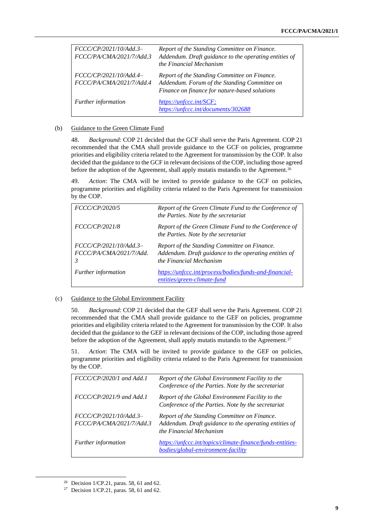| FCCC/CP/2021/10/Add.3-<br>FCCC/PA/CMA/2021/7/Add.3 | Report of the Standing Committee on Finance.<br>Addendum. Draft guidance to the operating entities of<br>the Financial Mechanism              |
|----------------------------------------------------|-----------------------------------------------------------------------------------------------------------------------------------------------|
| FCCC/CP/2021/10/Add.4-<br>FCCC/PA/CMA/2021/7/Add.4 | Report of the Standing Committee on Finance.<br>Addendum. Forum of the Standing Committee on<br>Finance on finance for nature-based solutions |
| Further information                                | https://unfccc.int/SCF:<br>https://unfccc.int/documents/302688                                                                                |

#### (b) Guidance to the Green Climate Fund

48. *Background*: COP 21 decided that the GCF shall serve the Paris Agreement. COP 21 recommended that the CMA shall provide guidance to the GCF on policies, programme priorities and eligibility criteria related to the Agreement for transmission by the COP. It also decided that the guidance to the GCF in relevant decisions of the COP, including those agreed before the adoption of the Agreement, shall apply mutatis mutandis to the Agreement.<sup>26</sup>

49. *Action*: The CMA will be invited to provide guidance to the GCF on policies, programme priorities and eligibility criteria related to the Paris Agreement for transmission by the COP.

| <i>FCCC/CP/2020/5</i>                                  | Report of the Green Climate Fund to the Conference of<br>the Parties. Note by the secretariat                                    |
|--------------------------------------------------------|----------------------------------------------------------------------------------------------------------------------------------|
| <i>FCCC/CP/2021/8</i>                                  | Report of the Green Climate Fund to the Conference of<br>the Parties. Note by the secretariat                                    |
| FCCC/CP/2021/10/Add.3-<br>FCCC/PA/CMA/2021/7/Add.<br>3 | Report of the Standing Committee on Finance.<br>Addendum. Draft guidance to the operating entities of<br>the Financial Mechanism |
| Further information                                    | https://unfccc.int/process/bodies/funds-and-financial-<br>entities/green-climate-fund                                            |

#### (c) Guidance to the Global Environment Facility

50. *Background*: COP 21 decided that the GEF shall serve the Paris Agreement. COP 21 recommended that the CMA shall provide guidance to the GEF on policies, programme priorities and eligibility criteria related to the Agreement for transmission by the COP. It also decided that the guidance to the GEF in relevant decisions of the COP, including those agreed before the adoption of the Agreement, shall apply mutatis mutandis to the Agreement.<sup>27</sup>

51. *Action*: The CMA will be invited to provide guidance to the GEF on policies, programme priorities and eligibility criteria related to the Paris Agreement for transmission by the COP.

| $FCCC/CP/2020/1$ and Add.1                         | Report of the Global Environment Facility to the<br>Conference of the Parties. Note by the secretariat                           |
|----------------------------------------------------|----------------------------------------------------------------------------------------------------------------------------------|
| $FCCC/CP/2021/9$ and Add.1                         | Report of the Global Environment Facility to the<br>Conference of the Parties. Note by the secretariat                           |
| FCCC/CP/2021/10/Add.3-<br>FCCC/PA/CMA/2021/7/Add.3 | Report of the Standing Committee on Finance.<br>Addendum. Draft guidance to the operating entities of<br>the Financial Mechanism |
| Further information                                | https://unfccc.int/topics/climate-finance/funds-entities-<br>bodies/global-environment-facility                                  |

<sup>&</sup>lt;sup>26</sup> Decision 1/CP.21, paras. 58, 61 and 62.

<sup>&</sup>lt;sup>27</sup> Decision 1/CP.21, paras. 58, 61 and 62.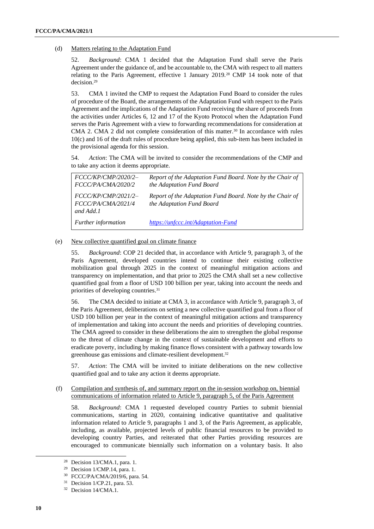#### (d) Matters relating to the Adaptation Fund

52. *Background*: CMA 1 decided that the Adaptation Fund shall serve the Paris Agreement under the guidance of, and be accountable to, the CMA with respect to all matters relating to the Paris Agreement, effective 1 January 2019.<sup>28</sup> CMP 14 took note of that decision.<sup>29</sup>

53. CMA 1 invited the CMP to request the Adaptation Fund Board to consider the rules of procedure of the Board, the arrangements of the Adaptation Fund with respect to the Paris Agreement and the implications of the Adaptation Fund receiving the share of proceeds from the activities under Articles 6, 12 and 17 of the Kyoto Protocol when the Adaptation Fund serves the Paris Agreement with a view to forwarding recommendations for consideration at CMA 2. CMA 2 did not complete consideration of this matter.<sup>30</sup> In accordance with rules 10(c) and 16 of the draft rules of procedure being applied, this sub-item has been included in the provisional agenda for this session.

54. *Action*: The CMA will be invited to consider the recommendations of the CMP and to take any action it deems appropriate.

| FCCC/KP/CMP/2020/2-<br><i>FCCC/PA/CMA/2020/2</i>         | Report of the Adaptation Fund Board. Note by the Chair of<br>the Adaptation Fund Board |
|----------------------------------------------------------|----------------------------------------------------------------------------------------|
| $FCCC/KP/CMP/2021/2-$<br>FCCC/PA/CMA/2021/4<br>and Add.1 | Report of the Adaptation Fund Board. Note by the Chair of<br>the Adaptation Fund Board |
| Further information                                      | https://unfccc.int/Adaptation-Fund                                                     |

#### (e) New collective quantified goal on climate finance

55. *Background*: COP 21 decided that, in accordance with Article 9, paragraph 3, of the Paris Agreement, developed countries intend to continue their existing collective mobilization goal through 2025 in the context of meaningful mitigation actions and transparency on implementation, and that prior to 2025 the CMA shall set a new collective quantified goal from a floor of USD 100 billion per year, taking into account the needs and priorities of developing countries. 31

56. The CMA decided to initiate at CMA 3, in accordance with Article 9, paragraph 3, of the Paris Agreement, deliberations on setting a new collective quantified goal from a floor of USD 100 billion per year in the context of meaningful mitigation actions and transparency of implementation and taking into account the needs and priorities of developing countries. The CMA agreed to consider in these deliberations the aim to strengthen the global response to the threat of climate change in the context of sustainable development and efforts to eradicate poverty, including by making finance flows consistent with a pathway towards low greenhouse gas emissions and climate-resilient development.<sup>32</sup>

57. *Action*: The CMA will be invited to initiate deliberations on the new collective quantified goal and to take any action it deems appropriate.

#### (f) Compilation and synthesis of, and summary report on the in-session workshop on, biennial communications of information related to Article 9, paragraph 5, of the Paris Agreement

58. *Background*: CMA 1 requested developed country Parties to submit biennial communications, starting in 2020, containing indicative quantitative and qualitative information related to Article 9, paragraphs 1 and 3, of the Paris Agreement, as applicable, including, as available, projected levels of public financial resources to be provided to developing country Parties, and reiterated that other Parties providing resources are encouraged to communicate biennially such information on a voluntary basis. It also

<sup>28</sup> Decision 13/CMA.1, para. 1.

<sup>29</sup> Decision 1/CMP.14, para. 1.

<sup>30</sup> FCCC/PA/CMA/2019/6, para. 54.

<sup>31</sup> Decision 1/CP.21, para. 53.

<sup>32</sup> Decision 14/CMA.1.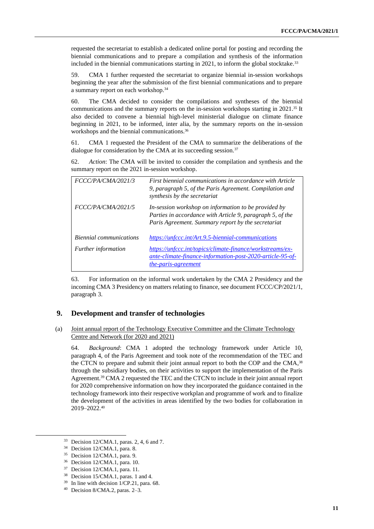requested the secretariat to establish a dedicated online portal for posting and recording the biennial communications and to prepare a compilation and synthesis of the information included in the biennial communications starting in 2021, to inform the global stocktake.<sup>33</sup>

59. CMA 1 further requested the secretariat to organize biennial in-session workshops beginning the year after the submission of the first biennial communications and to prepare a summary report on each workshop.<sup>34</sup>

60. The CMA decided to consider the compilations and syntheses of the biennial communications and the summary reports on the in-session workshops starting in 2021. <sup>35</sup> It also decided to convene a biennial high-level ministerial dialogue on climate finance beginning in 2021, to be informed, inter alia, by the summary reports on the in-session workshops and the biennial communications.<sup>36</sup>

61. CMA 1 requested the President of the CMA to summarize the deliberations of the dialogue for consideration by the CMA at its succeeding session.<sup>37</sup>

62. *Action*: The CMA will be invited to consider the compilation and synthesis and the summary report on the 2021 in-session workshop.

| FCCC/PA/CMA/2021/3         | First biennial communications in accordance with Article<br>9, paragraph 5, of the Paris Agreement. Compilation and<br>synthesis by the secretariat                     |
|----------------------------|-------------------------------------------------------------------------------------------------------------------------------------------------------------------------|
| FCCC/PA/CMA/2021/5         | In-session workshop on information to be provided by<br>Parties in accordance with Article 9, paragraph 5, of the<br>Paris Agreement. Summary report by the secretariat |
| Biennial communications    | https://unfccc.int/Art.9.5-biennial-communications                                                                                                                      |
| <i>Further information</i> | https://unfccc.int/topics/climate-finance/workstreams/ex-<br>ante-climate-finance-information-post-2020-article-95-of-<br><i>the-paris-agreement</i>                    |

63. For information on the informal work undertaken by the CMA 2 Presidency and the incoming CMA 3 Presidency on matters relating to finance, see document FCCC/CP/2021/1, paragraph 3.

## **9. Development and transfer of technologies**

(a) Joint annual report of the Technology Executive Committee and the Climate Technology Centre and Network (for 2020 and 2021)

64. *Background*: CMA 1 adopted the technology framework under Article 10, paragraph 4, of the Paris Agreement and took note of the recommendation of the TEC and the CTCN to prepare and submit their joint annual report to both the COP and the CMA,<sup>38</sup> through the subsidiary bodies, on their activities to support the implementation of the Paris Agreement.<sup>39</sup> CMA 2 requested the TEC and the CTCN to include in their joint annual report for 2020 comprehensive information on how they incorporated the guidance contained in the technology framework into their respective workplan and programme of work and to finalize the development of the activities in areas identified by the two bodies for collaboration in 2019–2022. 40

<sup>33</sup> Decision 12/CMA.1, paras. 2, 4, 6 and 7.

<sup>34</sup> Decision 12/CMA.1, para. 8.

<sup>35</sup> Decision 12/CMA.1, para. 9.

<sup>36</sup> Decision 12/CMA.1, para. 10.

<sup>37</sup> Decision 12/CMA.1, para. 11.

<sup>38</sup> Decision 15/CMA.1, paras. 1 and 4.

<sup>39</sup> In line with decision 1/CP.21, para. 68.

<sup>40</sup> Decision 8/CMA.2, paras. 2–3.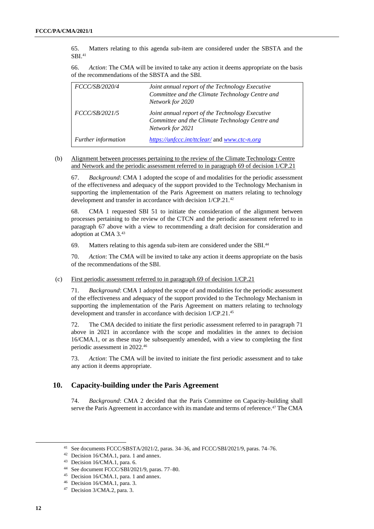65. Matters relating to this agenda sub-item are considered under the SBSTA and the SBI.<sup>41</sup>

66. *Action*: The CMA will be invited to take any action it deems appropriate on the basis of the recommendations of the SBSTA and the SBI.

| FCCC/SB/2020/4             | Joint annual report of the Technology Executive<br>Committee and the Climate Technology Centre and<br>Network for 2020 |
|----------------------------|------------------------------------------------------------------------------------------------------------------------|
| FCCC/SB/2021/5             | Joint annual report of the Technology Executive<br>Committee and the Climate Technology Centre and<br>Network for 2021 |
| <b>Further</b> information | https://unfccc.int/ttclear/ and www.ctc-n.org                                                                          |

(b) Alignment between processes pertaining to the review of the Climate Technology Centre and Network and the periodic assessment referred to in paragraph 69 of decision 1/CP.21

67. *Background*: CMA 1 adopted the scope of and modalities for the periodic assessment of the effectiveness and adequacy of the support provided to the Technology Mechanism in supporting the implementation of the Paris Agreement on matters relating to technology development and transfer in accordance with decision 1/CP.21.<sup>42</sup>

68. CMA 1 requested SBI 51 to initiate the consideration of the alignment between processes pertaining to the review of the CTCN and the periodic assessment referred to in paragraph 67 above with a view to recommending a draft decision for consideration and adoption at CMA 3.<sup>43</sup>

69. Matters relating to this agenda sub-item are considered under the SBI.<sup>44</sup>

70. *Action*: The CMA will be invited to take any action it deems appropriate on the basis of the recommendations of the SBI.

#### (c) First periodic assessment referred to in paragraph 69 of decision 1/CP.21

71. *Background*: CMA 1 adopted the scope of and modalities for the periodic assessment of the effectiveness and adequacy of the support provided to the Technology Mechanism in supporting the implementation of the Paris Agreement on matters relating to technology development and transfer in accordance with decision 1/CP.21. 45

72. The CMA decided to initiate the first periodic assessment referred to in paragraph 71 above in 2021 in accordance with the scope and modalities in the annex to decision 16/CMA.1, or as these may be subsequently amended, with a view to completing the first periodic assessment in 2022.<sup>46</sup>

73. *Action*: The CMA will be invited to initiate the first periodic assessment and to take any action it deems appropriate.

# **10. Capacity-building under the Paris Agreement**

74. *Background*: CMA 2 decided that the Paris Committee on Capacity-building shall serve the Paris Agreement in accordance with its mandate and terms of reference.<sup>47</sup> The CMA

<sup>41</sup> See documents FCCC/SBSTA/2021/2, paras. 34–36, and FCCC/SBI/2021/9, paras. 74–76.

<sup>42</sup> Decision 16/CMA.1, para. 1 and annex.

<sup>43</sup> Decision 16/CMA.1, para. 6.

<sup>44</sup> See document FCCC/SBI/2021/9, paras. 77–80.

<sup>45</sup> Decision 16/CMA.1, para. 1 and annex.

<sup>46</sup> Decision 16/CMA.1, para. 3.

<sup>47</sup> Decision 3/CMA.2, para. 3.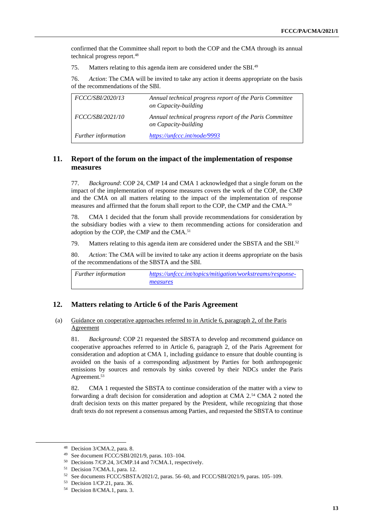confirmed that the Committee shall report to both the COP and the CMA through its annual technical progress report.<sup>48</sup>

75. Matters relating to this agenda item are considered under the SBI.<sup>49</sup>

76. *Action*: The CMA will be invited to take any action it deems appropriate on the basis of the recommendations of the SBI.

| <i>FCCC/SBI/2020/13</i> | Annual technical progress report of the Paris Committee<br>on Capacity-building |
|-------------------------|---------------------------------------------------------------------------------|
| <i>FCCC/SBI/2021/10</i> | Annual technical progress report of the Paris Committee<br>on Capacity-building |
| Further information     | https://unfccc.int/node/9993                                                    |

# **11. Report of the forum on the impact of the implementation of response measures**

77. *Background*: COP 24, CMP 14 and CMA 1 acknowledged that a single forum on the impact of the implementation of response measures covers the work of the COP, the CMP and the CMA on all matters relating to the impact of the implementation of response measures and affirmed that the forum shall report to the COP, the CMP and the CMA.<sup>50</sup>

78. CMA 1 decided that the forum shall provide recommendations for consideration by the subsidiary bodies with a view to them recommending actions for consideration and adoption by the COP, the CMP and the CMA.<sup>51</sup>

79. Matters relating to this agenda item are considered under the SBSTA and the SBI.<sup>52</sup>

80. *Action*: The CMA will be invited to take any action it deems appropriate on the basis of the recommendations of the SBSTA and the SBI.

*Further information [https://unfccc.int/topics/mitigation/workstreams/response](https://unfccc.int/topics/mitigation/workstreams/response-measures)[measures](https://unfccc.int/topics/mitigation/workstreams/response-measures)*

## **12. Matters relating to Article 6 of the Paris Agreement**

#### (a) Guidance on cooperative approaches referred to in Article 6, paragraph 2, of the Paris Agreement

81. *Background*: COP 21 requested the SBSTA to develop and recommend guidance on cooperative approaches referred to in Article 6, paragraph 2, of the Paris Agreement for consideration and adoption at CMA 1, including guidance to ensure that double counting is avoided on the basis of a corresponding adjustment by Parties for both anthropogenic emissions by sources and removals by sinks covered by their NDCs under the Paris Agreement.<sup>53</sup>

82. CMA 1 requested the SBSTA to continue consideration of the matter with a view to forwarding a draft decision for consideration and adoption at CMA 2.<sup>54</sup> CMA 2 noted the draft decision texts on this matter prepared by the President, while recognizing that those draft texts do not represent a consensus among Parties, and requested the SBSTA to continue

<sup>48</sup> Decision 3/CMA.2, para. 8.

<sup>49</sup> See document FCCC/SBI/2021/9, paras. 103–104.

<sup>50</sup> Decisions 7/CP.24, 3/CMP.14 and 7/CMA.1, respectively.

<sup>51</sup> Decision 7/CMA.1, para. 12.

<sup>52</sup> See documents FCCC/SBSTA/2021/2, paras. 56–60, and FCCC/SBI/2021/9, paras. 105–109.

<sup>53</sup> Decision 1/CP.21, para. 36.

<sup>54</sup> Decision 8/CMA.1, para. 3.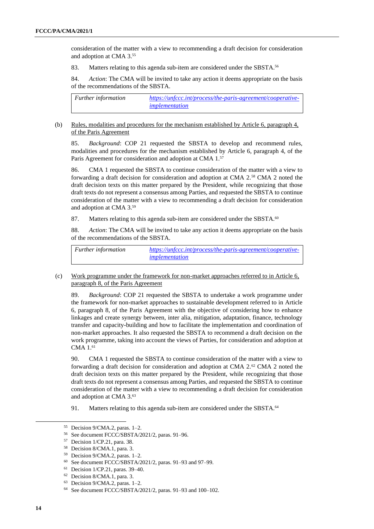consideration of the matter with a view to recommending a draft decision for consideration and adoption at CMA 3.<sup>55</sup>

83. Matters relating to this agenda sub-item are considered under the SBSTA.<sup>56</sup>

84. *Action*: The CMA will be invited to take any action it deems appropriate on the basis of the recommendations of the SBSTA.

| <b>Further information</b> | https://unfccc.int/process/the-paris-agreement/cooperative- |
|----------------------------|-------------------------------------------------------------|
|                            | <i>implementation</i>                                       |

#### (b) Rules, modalities and procedures for the mechanism established by Article 6, paragraph 4, of the Paris Agreement

85. *Background*: COP 21 requested the SBSTA to develop and recommend rules, modalities and procedures for the mechanism established by Article 6, paragraph 4, of the Paris Agreement for consideration and adoption at CMA 1.<sup>57</sup>

86. CMA 1 requested the SBSTA to continue consideration of the matter with a view to forwarding a draft decision for consideration and adoption at CMA 2.<sup>58</sup> CMA 2 noted the draft decision texts on this matter prepared by the President, while recognizing that those draft texts do not represent a consensus among Parties, and requested the SBSTA to continue consideration of the matter with a view to recommending a draft decision for consideration and adoption at CMA 3.<sup>59</sup>

87. Matters relating to this agenda sub-item are considered under the SBSTA.<sup>60</sup>

88. *Action*: The CMA will be invited to take any action it deems appropriate on the basis of the recommendations of the SBSTA.

*Further information [https://unfccc.int/process/the-paris-agreement/cooperative](https://unfccc.int/process/the-paris-agreement/cooperative-implementation)[implementation](https://unfccc.int/process/the-paris-agreement/cooperative-implementation)*

(c) Work programme under the framework for non-market approaches referred to in Article 6, paragraph 8, of the Paris Agreement

89. *Background*: COP 21 requested the SBSTA to undertake a work programme under the framework for non-market approaches to sustainable development referred to in Article 6, paragraph 8, of the Paris Agreement with the objective of considering how to enhance linkages and create synergy between, inter alia, mitigation, adaptation, finance, technology transfer and capacity-building and how to facilitate the implementation and coordination of non-market approaches. It also requested the SBSTA to recommend a draft decision on the work programme, taking into account the views of Parties, for consideration and adoption at CMA 1. 61

90. CMA 1 requested the SBSTA to continue consideration of the matter with a view to forwarding a draft decision for consideration and adoption at CMA 2.<sup>62</sup> CMA 2 noted the draft decision texts on this matter prepared by the President, while recognizing that those draft texts do not represent a consensus among Parties, and requested the SBSTA to continue consideration of the matter with a view to recommending a draft decision for consideration and adoption at CMA 3.<sup>63</sup>

91. Matters relating to this agenda sub-item are considered under the SBSTA.<sup>64</sup>

<sup>55</sup> Decision 9/CMA.2, paras. 1–2.

<sup>56</sup> See document FCCC/SBSTA/2021/2, paras. 91–96.

<sup>57</sup> Decision 1/CP.21, para. 38.

<sup>58</sup> Decision 8/CMA.1, para. 3.

<sup>59</sup> Decision 9/CMA.2, paras. 1–2.

<sup>60</sup> See document FCCC/SBSTA/2021/2, paras. 91–93 and 97–99.

<sup>61</sup> Decision 1/CP.21, paras. 39–40.

<sup>62</sup> Decision 8/CMA.1, para. 3.

<sup>63</sup> Decision 9/CMA.2, paras. 1–2.

<sup>64</sup> See document FCCC/SBSTA/2021/2, paras. 91–93 and 100–102.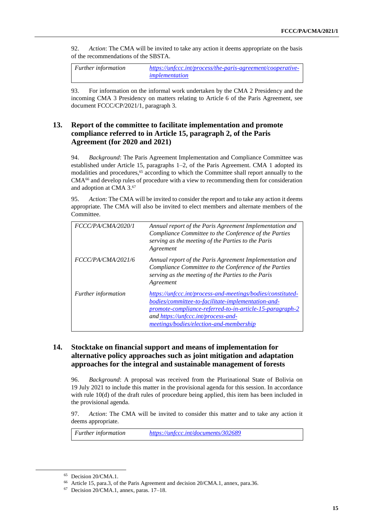92. *Action*: The CMA will be invited to take any action it deems appropriate on the basis of the recommendations of the SBSTA.

*Further information [https://unfccc.int/process/the-paris-agreement/cooperative](https://unfccc.int/process/the-paris-agreement/cooperative-implementation)[implementation](https://unfccc.int/process/the-paris-agreement/cooperative-implementation)*

93. For information on the informal work undertaken by the CMA 2 Presidency and the incoming CMA 3 Presidency on matters relating to Article 6 of the Paris Agreement, see document FCCC/CP/2021/1, paragraph 3.

# **13. Report of the committee to facilitate implementation and promote compliance referred to in Article 15, paragraph 2, of the Paris Agreement (for 2020 and 2021)**

94. *Background*: The Paris Agreement Implementation and Compliance Committee was established under Article 15, paragraphs 1–2, of the Paris Agreement. CMA 1 adopted its modalities and procedures, <sup>65</sup> according to which the Committee shall report annually to the  $CMA<sup>66</sup>$  and develop rules of procedure with a view to recommending them for consideration and adoption at CMA 3.<sup>67</sup>

95. *Action*: The CMA will be invited to consider the report and to take any action it deems appropriate. The CMA will also be invited to elect members and alternate members of the Committee.

| FCCC/PA/CMA/2020/1         | Annual report of the Paris Agreement Implementation and<br>Compliance Committee to the Conference of the Parties<br>serving as the meeting of the Parties to the Paris<br>Agreement                                                                             |
|----------------------------|-----------------------------------------------------------------------------------------------------------------------------------------------------------------------------------------------------------------------------------------------------------------|
| FCCC/PA/CMA/2021/6         | Annual report of the Paris Agreement Implementation and<br>Compliance Committee to the Conference of the Parties<br>serving as the meeting of the Parties to the Paris<br>Agreement                                                                             |
| <i>Further information</i> | https://unfccc.int/process-and-meetings/bodies/constituted-<br>bodies/committee-to-facilitate-implementation-and-<br>promote-compliance-referred-to-in-article-15-paragraph-2<br>and https://unfccc.int/process-and-<br>meetings/bodies/election-and-membership |

# **14. Stocktake on financial support and means of implementation for alternative policy approaches such as joint mitigation and adaptation approaches for the integral and sustainable management of forests**

96. *Background*: A proposal was received from the Plurinational State of Bolivia on 19 July 2021 to include this matter in the provisional agenda for this session. In accordance with rule 10(d) of the draft rules of procedure being applied, this item has been included in the provisional agenda.

97. *Action*: The CMA will be invited to consider this matter and to take any action it deems appropriate.

*Further information <https://unfccc.int/documents/302689>*

<sup>65</sup> Decision 20/CMA.1.

<sup>66</sup> Article 15, para.3, of the Paris Agreement and decision 20/CMA.1, annex, para.36.

<sup>67</sup> Decision 20/CMA.1, annex, paras. 17–18.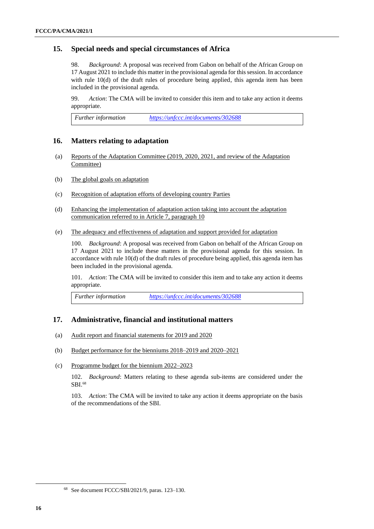## **15. Special needs and special circumstances of Africa**

98. *Background*: A proposal was received from Gabon on behalf of the African Group on 17 August 2021 to include this matter in the provisional agenda for this session. In accordance with rule 10(d) of the draft rules of procedure being applied, this agenda item has been included in the provisional agenda.

99. *Action*: The CMA will be invited to consider this item and to take any action it deems appropriate.

*Further information <https://unfccc.int/documents/302688>*

### **16. Matters relating to adaptation**

- (a) Reports of the Adaptation Committee (2019, 2020, 2021, and review of the Adaptation Committee)
- (b) The global goals on adaptation
- (c) Recognition of adaptation efforts of developing country Parties
- (d) Enhancing the implementation of adaptation action taking into account the adaptation communication referred to in Article 7, paragraph 10
- (e) The adequacy and effectiveness of adaptation and support provided for adaptation

100. *Background*: A proposal was received from Gabon on behalf of the African Group on 17 August 2021 to include these matters in the provisional agenda for this session. In accordance with rule 10(d) of the draft rules of procedure being applied, this agenda item has been included in the provisional agenda.

101. *Action*: The CMA will be invited to consider this item and to take any action it deems appropriate.

*Further information <https://unfccc.int/documents/302688>*

## **17. Administrative, financial and institutional matters**

- (a) Audit report and financial statements for 2019 and 2020
- (b) Budget performance for the bienniums 2018–2019 and 2020–2021
- (c) Programme budget for the biennium 2022–2023

102. *Background*: Matters relating to these agenda sub-items are considered under the SBI.<sup>68</sup>

103. *Action*: The CMA will be invited to take any action it deems appropriate on the basis of the recommendations of the SBI.

<sup>68</sup> See document FCCC/SBI/2021/9, paras. 123–130.